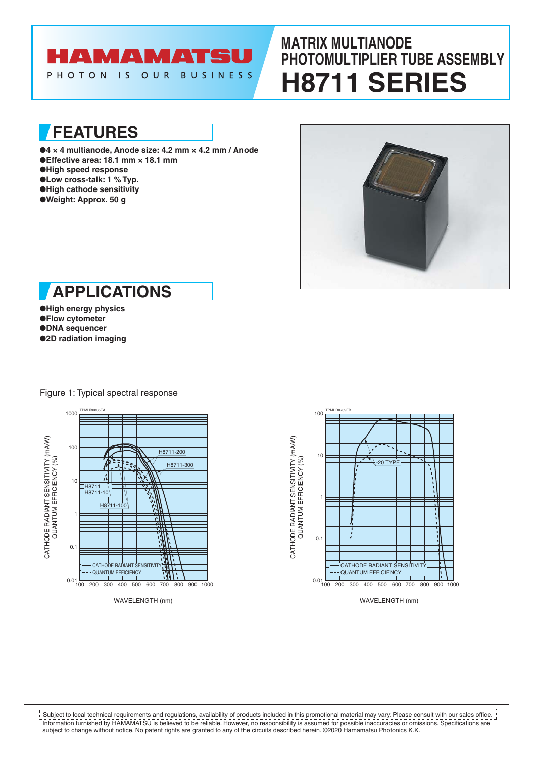# **AMAMATSU**

PHOTON IS OUR **BUSINESS** 

# **MATRIX MULTIANODE PHOTOMULTIPLIER TUBE ASSEMBLY H8711 SERIES**

**FEATURES**

- ●**4 × 4 multianode, Anode size: 4.2 mm × 4.2 mm / Anode** ●**Effective area: 18.1 mm × 18.1 mm** ●**High speed response** ●**Low cross-talk: 1 % Typ.**
- ●**High cathode sensitivity**
- ●**Weight: Approx. 50 g**





●**High energy physics** ●**Flow cytometer** ●**DNA sequencer** ●**2D radiation imaging**



Figure 1: Typical spectral response



Information furnished by HAMAMATSU is believed to be reliable. However, no responsibility is assumed for possible inaccuracies or omissions. Specifications are subject to change without notice. No patent rights are granted to any of the circuits described herein. ©2020 Hamamatsu Photonics K.K. **Subject to local technical requirements and regulations, availability of products included in this promotional material may vary. Please consult with our sales office.**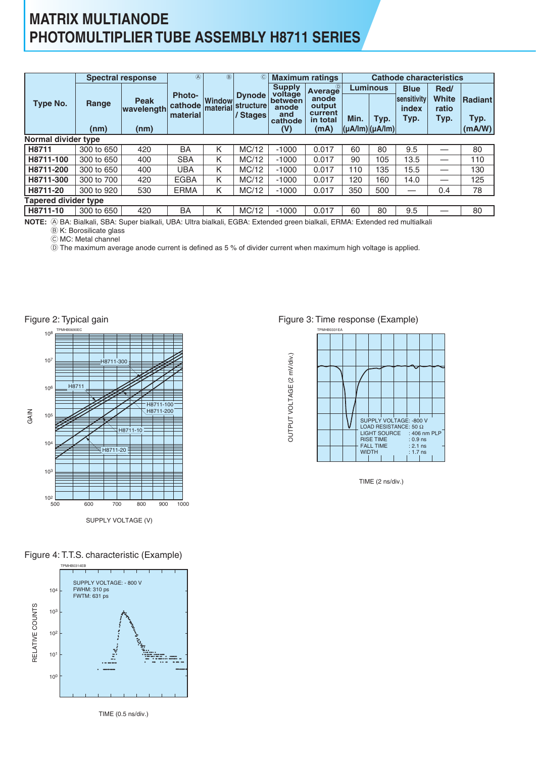## **MATRIX MULTIANODE PHOTOMULTIPLIER TUBE ASSEMBLY H8711 SERIES**

|                             |               | <b>Spectral response</b>          | @                                    | $\circledR$               | O)                                     |                                                                       | <b>Maximum ratings</b>                                    | <b>Cathode characteristics</b>                           |      |                                             |                                       |                                  |  |  |  |
|-----------------------------|---------------|-----------------------------------|--------------------------------------|---------------------------|----------------------------------------|-----------------------------------------------------------------------|-----------------------------------------------------------|----------------------------------------------------------|------|---------------------------------------------|---------------------------------------|----------------------------------|--|--|--|
| Type No.                    | Range<br>(nm) | <b>Peak</b><br>wavelength<br>(nm) | <b>Photo-</b><br>cathode<br>material | <b>Window</b><br>material | <b>Dynode</b><br>structure<br>/ Stages | <b>Supply</b><br>voltage<br>between<br>anode<br>and<br>cathode<br>(V) | Average<br>anode<br>output<br>current<br>in total<br>(mA) | <b>Luminous</b><br>Min.<br>$ \mu A /  m $ $ \mu A /  m $ | Typ. | <b>Blue</b><br>sensitivity<br>index<br>Typ. | Red/<br><b>White</b><br>ratio<br>Typ. | <b>Radiant</b><br>Typ.<br>(mA/W) |  |  |  |
| Normal divider type         |               |                                   |                                      |                           |                                        |                                                                       |                                                           |                                                          |      |                                             |                                       |                                  |  |  |  |
| H8711                       | 300 to 650    | 420                               | BA                                   | Κ                         | MC/12                                  | $-1000$                                                               | 0.017                                                     | 60                                                       | 80   | 9.5                                         |                                       | 80                               |  |  |  |
| H8711-100                   | 300 to 650    | 400                               | <b>SBA</b>                           | K                         | MC/12                                  | $-1000$                                                               | 0.017                                                     | 90                                                       | 105  | 13.5                                        | __                                    | 110                              |  |  |  |
| H8711-200                   | 300 to 650    | 400                               | <b>UBA</b>                           | K                         | MC/12                                  | $-1000$                                                               | 0.017                                                     | 110                                                      | 135  | 15.5                                        |                                       | 130                              |  |  |  |
| H8711-300                   | 300 to 700    | 420                               | <b>EGBA</b>                          | K                         | MC/12                                  | $-1000$                                                               | 0.017                                                     | 120                                                      | 160  | 14.0                                        | –                                     | 125                              |  |  |  |
| H8711-20                    | 300 to 920    | 530                               | <b>ERMA</b>                          | Κ                         | MC/12                                  | $-1000$                                                               | 0.017                                                     | 350                                                      | 500  |                                             | 0.4                                   | 78                               |  |  |  |
| <b>Tapered divider type</b> |               |                                   |                                      |                           |                                        |                                                                       |                                                           |                                                          |      |                                             |                                       |                                  |  |  |  |
| H8711-10                    | 300 to 650    | 420                               | <b>BA</b>                            | K                         | MC/12                                  | $-1000$                                                               | 0.017                                                     | 60                                                       | 80   | 9.5                                         |                                       | 80                               |  |  |  |

A BA: Bialkali, SBA: Super bialkali, UBA: Ultra bialkali, EGBA: Extended green bialkali, ERMA: Extended red multialkali **NOTE:**

B K: Borosilicate glass

C MC: Metal channel

D The maximum average anode current is defined as 5 % of divider current when maximum high voltage is applied.



Figure 4: T.T.S. characteristic (Example)



TIME (0.5 ns/div.)

#### Figure 3: Time response (Example)



TIME (2 ns/div.)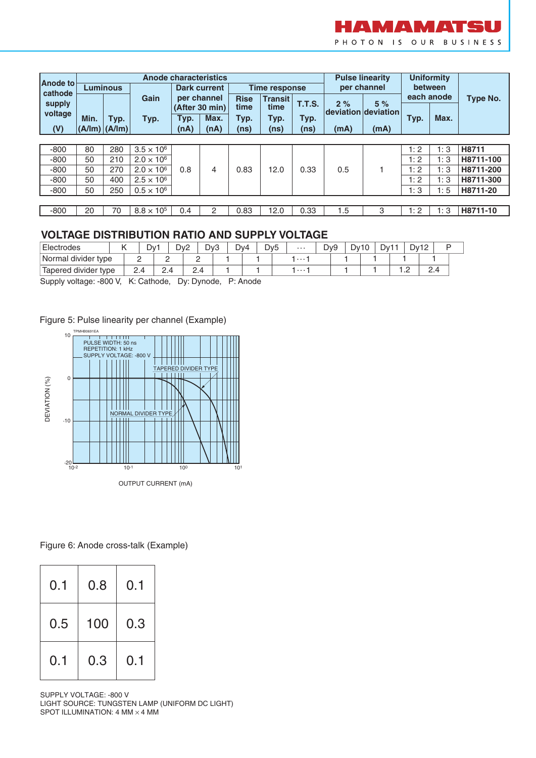

| Anode to<br>cathode |      | <b>Anode characteristics</b><br><b>Luminous</b> |                     |      | <b>Dark current</b>           |                     | <b>Time response</b>   |        |                            | <b>Pulse linearity</b><br>per channel | <b>Uniformity</b><br>between |            |           |
|---------------------|------|-------------------------------------------------|---------------------|------|-------------------------------|---------------------|------------------------|--------|----------------------------|---------------------------------------|------------------------------|------------|-----------|
| supply              |      |                                                 | Gain                |      | per channel<br>(After 30 min) | <b>Rise</b><br>time | <b>Transit</b><br>time | T.T.S. | 2%<br> deviation deviation | 5%                                    |                              | each anode | Type No.  |
| voltage             | Min. | Typ.                                            | Typ.                | Typ. | Max.                          | Typ.                | Typ.                   | Typ.   |                            |                                       | Typ.                         | Max.       |           |
| (V)                 |      | $(A/Im)$ $(A/Im)$                               |                     | (nA) | (nA)                          | (ns)                | (ns)                   | (ns)   | (mA)                       | (mA)                                  |                              |            |           |
|                     |      |                                                 |                     |      |                               |                     |                        |        |                            |                                       |                              |            |           |
| $-800$              | 80   | 280                                             | $3.5 \times 10^{6}$ |      |                               |                     |                        |        |                            |                                       | 1:2                          | 1:3        | H8711     |
| $-800$              | 50   | 210                                             | $2.0 \times 10^{6}$ |      |                               |                     |                        |        |                            |                                       | 1:2                          | 1:3        | H8711-100 |
| $-800$              | 50   | 270                                             | $2.0 \times 10^{6}$ | 0.8  | 4                             | 0.83                | 12.0                   | 0.33   | 0.5                        |                                       | 1:2                          | 1:3        | H8711-200 |
| $-800$              | 50   | 400                                             | $2.5 \times 10^{6}$ |      |                               |                     |                        |        |                            |                                       | 1:2                          | 1:3        | H8711-300 |
| $-800$              | 50   | 250                                             | $0.5 \times 10^{6}$ |      |                               |                     |                        |        |                            |                                       | 1:3                          | 1:5        | H8711-20  |
|                     |      |                                                 |                     |      |                               |                     |                        |        |                            |                                       |                              |            |           |
| $-800$              | 20   | 70                                              | $8.8 \times 10^{5}$ | 0.4  | 2                             | 0.83                | 12.0                   | 0.33   | 1.5                        | 3                                     | 1:2                          | 1:3        | H8711-10  |

### **VOLTAGE DISTRIBUTION RATIO AND SUPPLY VOLTAGE**

| Electrodes             | Dv <sup>-1</sup> |          | ∽<br>$QV^2$ |          | Dv3 | Dv4 | Dv <sub>5</sub> | $\cdots$ | D <sub>v9</sub> | Dv10 | Dv11 |   | Dv12<br>ັ | <u>_</u> | D |
|------------------------|------------------|----------|-------------|----------|-----|-----|-----------------|----------|-----------------|------|------|---|-----------|----------|---|
| divider type<br>Normal | -                | -        |             | _        |     |     |                 | $\cdots$ |                 |      |      |   |           |          |   |
| Tapered divider type   | 2.4              | <u>-</u> |             | <u>.</u> |     |     |                 | $\cdots$ |                 |      |      | . |           | 2.4      |   |

Supply voltage: -800 V, K: Cathode, Dy: Dynode, P: Anode

Figure 5: Pulse linearity per channel (Example)



Figure 6: Anode cross-talk (Example)

| 0.1 | 0.8 | 0.1 |
|-----|-----|-----|
| 0.5 | 100 | 0.3 |
| 0.1 | 0.3 | 0.1 |

SUPPLY VOLTAGE: -800 V LIGHT SOURCE: TUNGSTEN LAMP (UNIFORM DC LIGHT) SPOT ILLUMINATION: 4 MM  $\times$  4 MM